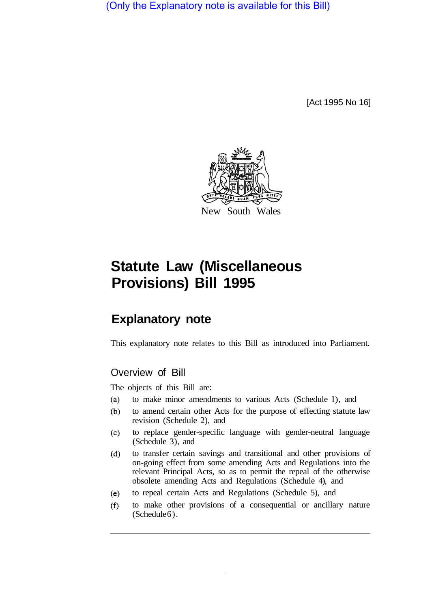(Only the Explanatory note is available for this Bill)

[Act 1995 No 16]



# **Statute Law (Miscellaneous Provisions) Bill 1995**

# **Explanatory note**

This explanatory note relates to this Bill as introduced into Parliament.

# Overview of Bill

The objects of this Bill are:

- to make minor amendments to various Acts (Schedule l), and  $(a)$
- to amend certain other Acts for the purpose of effecting statute law  $(b)$ revision (Schedule 2), and
- $(c)$ to replace gender-specific language with gender-neutral language (Schedule 3), and
- $(d)$ to transfer certain savings and transitional and other provisions of on-going effect from some amending Acts and Regulations into the relevant Principal Acts, so as to permit the repeal of the otherwise obsolete amending Acts and Regulations (Schedule 4), and
- to repeal certain Acts and Regulations (Schedule 5), and  $(e)$
- to make other provisions of a consequential or ancillary nature  $(f)$ (Schedule 6).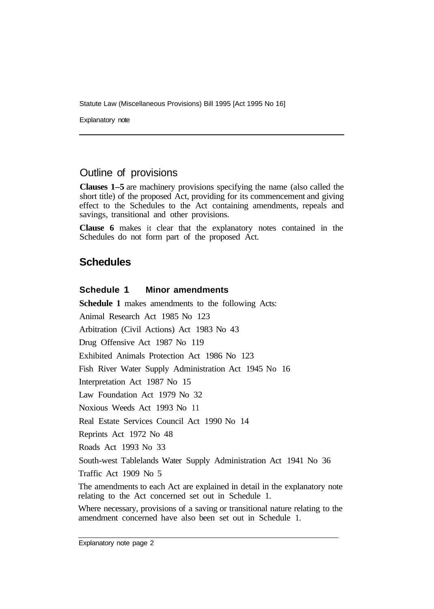Statute Law (Miscellaneous Provisions) Bill 1995 [Act 1995 No 16]

Explanatory note

## Outline of provisions

**Clauses 1–5** are machinery provisions specifying the name (also called the short title) of the proposed Act, providing for its commencement and giving effect to the Schedules to the Act containing amendments, repeals and savings, transitional and other provisions.

**Clause 6** makes it clear that the explanatory notes contained in the Schedules do not form part of the proposed Act.

### **Schedules**

#### **Schedule 1 Minor amendments**

**Schedule 1** makes amendments to the following Acts:

Animal Research Act 1985 No 123

Arbitration (Civil Actions) Act 1983 No 43

Drug Offensive Act 1987 No 119

Exhibited Animals Protection Act 1986 No 123

Fish River Water Supply Administration Act 1945 No 16

Interpretation Act 1987 No 15

Law Foundation Act 1979 No 32

Noxious Weeds Act 1993 No 11

Real Estate Services Council Act 1990 No 14

Reprints Act 1972 No 48

Roads Act 1993 No 33

South-west Tablelands Water Supply Administration Act 1941 No 36

Traffic Act 1909 No 5

The amendments to each Act are explained in detail in the explanatory note relating to the Act concerned set out in Schedule 1.

Where necessary, provisions of a saving or transitional nature relating to the amendment concerned have also been set out in Schedule 1.

Explanatory note page 2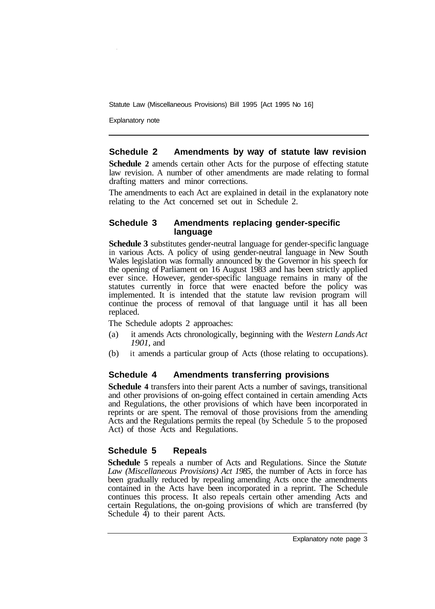Statute Law (Miscellaneous Provisions) Bill 1995 [Act 1995 No 16]

Explanatory note

#### **Schedule 2 Amendments by way of statute law revision**

**Schedule 2** amends certain other Acts for the purpose of effecting statute law revision. A number of other amendments are made relating to formal drafting matters and minor corrections.

The amendments to each Act are explained in detail in the explanatory note relating to the Act concerned set out in Schedule 2.

#### **Schedule 3 Amendments replacing gender-specific language**

**Schedule 3** substitutes gender-neutral language for gender-specific language in various Acts. A policy of using gender-neutral language in New South Wales legislation was formally announced by the Governor in his speech for the opening of Parliament on 16 August 1983 and has been strictly applied ever since. However, gender-specific language remains in many of the statutes currently in force that were enacted before the policy was implemented. It is intended that the statute law revision program will continue the process of removal of that language until it has all been replaced.

The Schedule adopts 2 approaches:

- (a) it amends Acts chronologically, beginning with the *Western Lands Act 1901,* and
- (b) it amends a particular group of Acts (those relating to occupations).

#### **Schedule 4 Amendments transferring provisions**

**Schedule 4** transfers into their parent Acts a number of savings, transitional and other provisions of on-going effect contained in certain amending Acts and Regulations, the other provisions of which have been incorporated in reprints or are spent. The removal of those provisions from the amending Acts and the Regulations permits the repeal (by Schedule 5 to the proposed Act) of those Acts and Regulations.

#### **Schedule 5 Repeals**

**Schedule 5** repeals a number of Acts and Regulations. Since the *Statute Law (Miscellaneous Provisions) Act 1985,* the number of Acts in force has been gradually reduced by repealing amending Acts once the amendments contained in the Acts have been incorporated in a reprint. The Schedule continues this process. It also repeals certain other amending Acts and certain Regulations, the on-going provisions of which are transferred (by Schedule  $\overline{4}$ ) to their parent Acts.